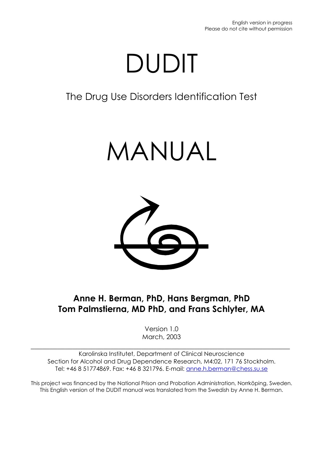# DUDIT

# The Drug Use Disorders Identification Test

# MANUAL



# **Anne H. Berman, PhD, Hans Bergman, PhD Tom Palmstierna, MD PhD, and Frans Schlyter, MA**

Version 1.0 March, 2003

Karolinska Institutet, Department of Clinical Neuroscience Section for Alcohol and Drug Dependence Research, M4:02, 171 76 Stockholm. Tel: +46 8 51774869. Fax: +46 8 321796. E-mail: [anne.h.berman@chess.su.se](mailto:ahberman@telia.com)

 $\_$  , and the set of the set of the set of the set of the set of the set of the set of the set of the set of the set of the set of the set of the set of the set of the set of the set of the set of the set of the set of th

This project was financed by the National Prison and Probation Administration, Norrköping, Sweden. This English version of the DUDIT manual was translated from the Swedish by Anne H. Berman.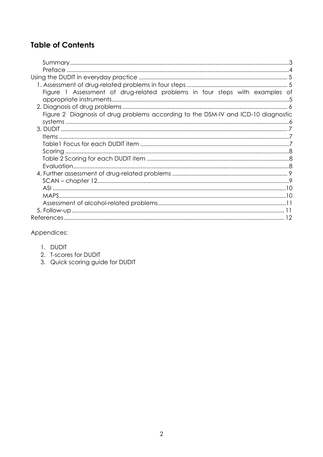## **Table of Contents**

| Figure 1 Assessment of drug-related problems in four steps with examples of       |  |
|-----------------------------------------------------------------------------------|--|
|                                                                                   |  |
| Figure 2 Diagnosis of drug problems according to the DSM-IV and ICD-10 diagnostic |  |
|                                                                                   |  |
|                                                                                   |  |
|                                                                                   |  |
|                                                                                   |  |
|                                                                                   |  |
|                                                                                   |  |
|                                                                                   |  |
|                                                                                   |  |
|                                                                                   |  |
|                                                                                   |  |
|                                                                                   |  |
|                                                                                   |  |
|                                                                                   |  |
|                                                                                   |  |
|                                                                                   |  |

Appendices:

- 1. DUDIT
- 2. T-scores for DUDIT
- 3. Quick scoring guide for DUDIT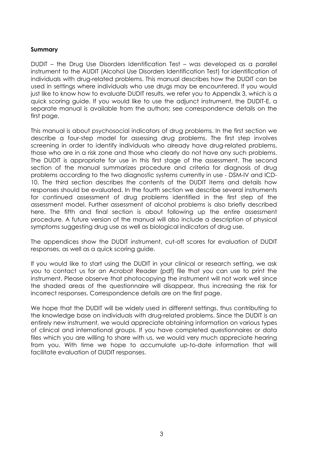#### <span id="page-2-0"></span>**Summary**

DUDIT – the Drug Use Disorders Identification Test – was developed as a parallel instrument to the AUDIT (Alcohol Use Disorders Identification Test) for identification of individuals with drug-related problems. This manual describes how the DUDIT can be used in settings where individuals who use drugs may be encountered. If you would just like to know how to evaluate DUDIT results, we refer you to Appendix 3, which is a quick scoring guide. If you would like to use the adjunct instrument, the DUDIT-E, a separate manual is available from the authors; see correspondence details on the first page.

This manual is about psychosocial indicators of drug problems. In the first section we describe a four-step model for assessing drug problems. The first step involves screening in order to identify individuals who already have drug-related problems, those who are in a risk zone and those who clearly do not have any such problems. The DUDIT is appropriate for use in this first stage of the assessment. The second section of the manual summarizes procedure and criteria for diagnosis of drug problems according to the two diagnostic systems currently in use - DSM-IV and ICD-10. The third section describes the contents of the DUDIT items and details how responses should be evaluated. In the fourth section we describe several instruments for continued assessment of drug problems identified in the first step of the assessment model. Further assessment of alcohol problems is also briefly described here. The fifth and final section is about following up the entire assessment procedure. A future version of the manual will also include a description of physical symptoms suggesting drug use as well as biological indicators of drug use.

The appendices show the DUDIT instrument, cut-off scores for evaluation of DUDIT responses, as well as a quick scoring guide.

If you would like to start using the DUDIT in your clinical or research setting, we ask you to contact us for an Acrobat Reader (pdf) file that you can use to print the instrument. Please observe that photocopying the instrument will not work well since the shaded areas of the questionnaire will disappear, thus increasing the risk for incorrect responses. Correspondence details are on the first page.

We hope that the DUDIT will be widely used in different settings, thus contributing to the knowledge base on individuals with drug-related problems. Since the DUDIT is an entirely new instrument, we would appreciate obtaining information on various types of clinical and international groups. If you have completed questionnaires or data files which you are willing to share with us, we would very much appreciate hearing from you. With time we hope to accumulate up-to-date information that will facilitate evaluation of DUDIT responses.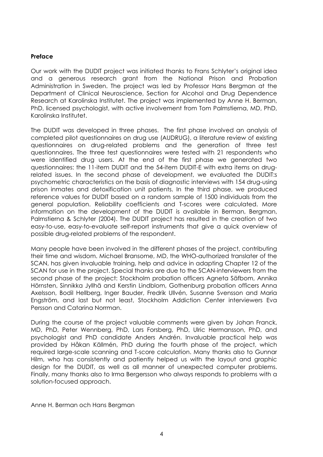#### <span id="page-3-0"></span>**Preface**

Our work with the DUDIT project was initiated thanks to Frans Schlyter's original idea and a generous research grant from the National Prison and Probation Administration in Sweden. The project was led by Professor Hans Bergman at the Department of Clinical Neuroscience, Section for Alcohol and Drug Dependence Research at Karolinska Institutet. The project was implemented by Anne H. Berman, PhD, licensed psychologist, with active involvement from Tom Palmstierna, MD, PhD, Karolinska Institutet.

The DUDIT was developed in three phases. The first phase involved an analysis of completed pilot questionnaires on drug use (AUDRUG), a literature review of existing questionnaires on drug-related problems and the generation of three test questionnaires. The three test questionnaires were tested with 21 respondents who were identified drug users. At the end of the first phase we generated two questionnaires: the 11-item DUDIT and the 54-item DUDIT-E with extra items on drugrelated issues. In the second phase of development, we evaluated the DUDIT:s psychometric characteristics on the basis of diagnostic interviews with 154 drug-using prison inmates and detoxification unit patients. In the third phase, we produced reference values for DUDIT based on a random sample of 1500 individuals from the general population. Reliability coefficients and T-scores were calculated. More information on the development of the DUDIT is available in Berman, Bergman, Palmstierna & Schlyter (2004). The DUDIT project has resulted in the creation of two easy-to-use, easy-to-evaluate self-report instruments that give a quick overview of possible drug-related problems of the respondent.

Many people have been involved in the different phases of the project, contributing their time and wisdom. Michael Bransome, MD, the WHO-authorized translater of the SCAN, has given invaluable training, help and advice in adapting Chapter 12 of the SCAN for use in the project. Special thanks are due to the SCAN-interviewers from the second phase of the project: Stockholm probation officers Agneta Säfbom, Annika Hörnsten, Sinnikka Jyllhä and Kerstin Lindblom, Gothenburg probation officers Anna Axelsson, Bodil Hellberg, Inger Bauder, Fredrik Ullvén, Susanne Svensson and Maria Engström, and last but not least, Stockholm Addiction Center interviewers Eva Persson and Catarina Norrman.

During the course of the project valuable comments were given by Johan Franck, MD, PhD, Peter Wennberg, PhD, Lars Forsberg, PhD, Ulric Hermansson, PhD, and psychologist and PhD candidate Anders Andrén. Invaluable practical help was provided by Håkan Källmén, PhD during the fourth phase of the project, which required large-scale scanning and T-score calculation. Many thanks also to Gunnar Hilm, who has consistently and patiently helped us with the layout and graphic design for the DUDIT, as well as all manner of unexpected computer problems. Finally, many thanks also to Irma Bergersson who always responds to problems with a solution-focused approach.

Anne H. Berman och Hans Bergman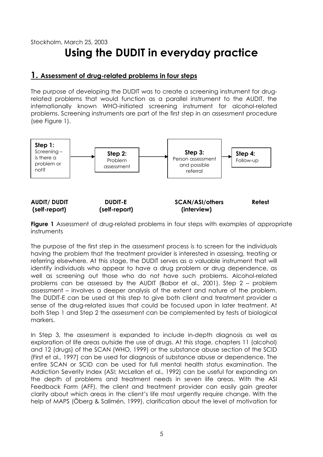# <span id="page-4-0"></span>Stockholm, March 25, 2003 **Using the DUDIT in everyday practice**

#### **1. Assessment of drug-related problems in four steps**

The purpose of developing the DUDIT was to create a screening instrument for drugrelated problems that would function as a parallel instrument to the AUDIT, the internationally known WHO-initiated screening instrument for alcohol-related problems. Screening instruments are part of the first step in an assessment procedure (see Figure 1).



**Figure 1** Assessment of drug-related problems in four steps with examples of appropriate instruments

The purpose of the first step in the assessment process is to screen for the individuals having the problem that the treatment provider is interested in assessing, treating or referring elsewhere. At this stage, the DUDIT serves as a valuable instrument that will identify individuals who appear to have a drug problem or drug dependence, as well as screening out those who do not have such problems. Alcohol-related problems can be assessed by the AUDIT (Babor et al., 2001). Step 2 – problem assessment – involves a deeper analysis of the extent and nature of the problem. The DUDIT-E can be used at this step to give both client and treatment provider a sense of the drug-related issues that could be focused upon in later treatment. At both Step 1 and Step 2 the assessment can be complemented by tests of biological markers.

In Step 3, the assessment is expanded to include in-depth diagnosis as well as exploration of life areas outside the use of drugs. At this stage, chapters 11 (alcohol) and 12 (drugs) of the SCAN (WHO, 1999) or the substance abuse section of the SCID (First et al., 1997) can be used for diagnosis of substance abuse or dependence. The entire SCAN or SCID can be used for full mental health status examination. The Addiction Severity Index (ASI; McLellan et al., 1992) can be useful for expanding on the depth of problems and treatment needs in seven life areas. With the ASI Feedback Form (AFF), the client and treatment provider can easily gain greater clarity about which areas in the client's life most urgently require change. With the help of MAPS (Öberg & Sallmén, 1999), clarification about the level of motivation for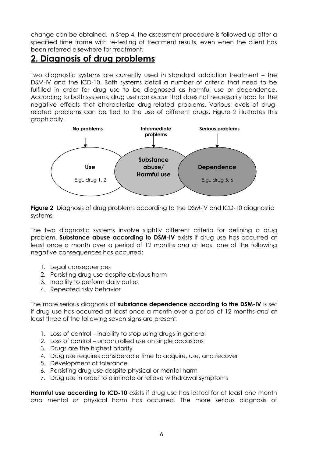<span id="page-5-0"></span>change can be obtained. In Step 4, the assessment procedure is followed up after a specified time frame with re-testing of treatment results, even when the client has been referred elsewhere for treatment.

# **2. Diagnosis of drug problems**

Two diagnostic systems are currently used in standard addiction treatment – the DSM-IV and the ICD-10. Both systems detail a number of criteria that need to be fulfilled in order for drug use to be diagnosed as harmful use or dependence. According to both systems, drug use can occur that does not necessarily lead to the negative effects that characterize drug-related problems. Various levels of drugrelated problems can be tied to the use of different drugs. Figure 2 illustrates this graphically.



**Figure 2** Diagnosis of drug problems according to the DSM-IV and ICD-10 diagnostic systems

The two diagnostic systems involve slightly different criteria for defining a drug problem. **Substance abuse according to DSM-IV** exists if drug use has occurred at least once a month over a period of 12 months *and* at least one of the following negative consequences has occurred:

- 1. Legal consequences
- 2. Persisting drug use despite obvious harm
- 3. Inability to perform daily duties
- 4. Repeated risky behavior

The more serious diagnosis of **substance dependence according to the DSM-IV** is set if drug use has occurred at least once a month over a period of 12 months *and* at least three of the following seven signs are present:

- 1. Loss of control inability to stop using drugs in general
- 2. Loss of control uncontrolled use on single occasions
- 3. Drugs are the highest priority
- 4. Drug use requires considerable time to acquire, use, and recover
- 5. Development of tolerance
- 6. Persisting drug use despite physical or mental harm
- 7. Drug use in order to eliminate or relieve withdrawal symptoms

**Harmful use according to ICD-10** exists if drug use has lasted for at least one month *and* mental *or* physical harm has occurred. The more serious diagnosis of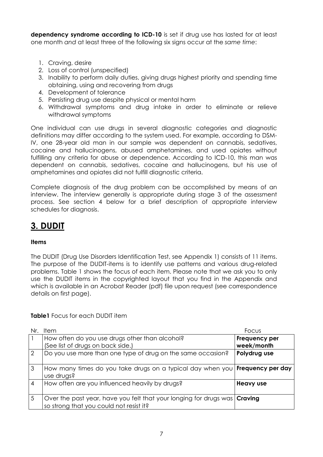<span id="page-6-0"></span>**dependency syndrome according to ICD-10** is set if drug use has lasted for at least one month *and* at least three of the following six signs occur at the *same time*:

- 1. Craving, desire
- 2. Loss of control (unspecified)
- 3. Inability to perform daily duties, giving drugs highest priority and spending time obtaining, using and recovering from drugs
- 4. Development of tolerance
- 5. Persisting drug use despite physical or mental harm
- 6. Withdrawal symptoms and drug intake in order to eliminate or relieve withdrawal symptoms

One individual can use drugs in several diagnostic categories and diagnostic definitions may differ according to the system used. For example, according to DSM-IV, one 28-year old man in our sample was dependent on cannabis, sedatives, cocaine and hallucinogens, abused amphetamines, and used opiates without fulfilling any criteria for abuse or dependence. According to ICD-10, this man was dependent on cannabis, sedatives, cocaine and hallucinogens, but his use of amphetamines and opiates did not fulfill diagnostic criteria.

Complete diagnosis of the drug problem can be accomplished by means of an interview. The interview generally is appropriate during stage 3 of the assessment process. See section 4 below for a brief description of appropriate interview schedules for diagnosis.

# **3. DUDIT**

#### **Items**

The DUDIT (Drug Use Disorders Identification Test, see Appendix 1) consists of 11 items. The purpose of the DUDIT-items is to identify use patterns and various drug-related problems. Table 1 shows the focus of each item. Please note that we ask you to only use the DUDIT items in the copyrighted layout that you find in the Appendix and which is available in an Acrobat Reader (pdf) file upon request (see correspondence details on first page).

**Table1** Focus for each DUDIT item

| Nr.            | Item                                                                                                                        | Focus                       |
|----------------|-----------------------------------------------------------------------------------------------------------------------------|-----------------------------|
|                | How often do you use drugs other than alcohol?<br>(See list of drugs on back side.)                                         | Frequency per<br>week/month |
| $\overline{2}$ | Do you use more than one type of drug on the same occasion?                                                                 | Polydrug use                |
| $\overline{3}$ | How many times do you take drugs on a typical day when you <b>Frequency per day</b><br>use drugs?                           |                             |
| $\overline{4}$ | How often are you influenced heavily by drugs?                                                                              | <b>Heavy use</b>            |
| 5              | Over the past year, have you felt that your longing for drugs was <b>Craving</b><br>so strong that you could not resist it? |                             |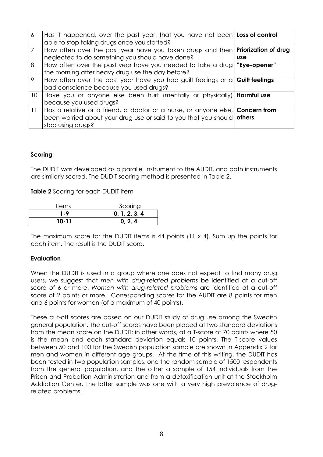<span id="page-7-0"></span>

| 6               | Has it happened, over the past year, that you have not been <b>Loss of control</b><br>able to stop taking drugs once you started?                                                          |            |
|-----------------|--------------------------------------------------------------------------------------------------------------------------------------------------------------------------------------------|------------|
|                 | How often over the past year have you taken drugs and then <b>Priorization of drug</b><br>neglected to do something you should have done?                                                  | <b>use</b> |
| 8               | How often over the past year have you needed to take a drug <b>"Eye-opener"</b><br>the morning after heavy drug use the day before?                                                        |            |
| 9               | How often over the past year have you had guilt feelings or $a  $ Guilt feelings<br>bad conscience because you used drugs?                                                                 |            |
| 10 <sup>°</sup> | Have you or anyone else been hurt (mentally or physically)   <b>Harmful use</b><br>because you used drugs?                                                                                 |            |
| 11              | Has a relative or a friend, a doctor or a nurse, or anyone else, <b>Concern from</b><br>been worried about your drug use or said to you that you should <b>others</b><br>stop using drugs? |            |

#### **Scoring**

The DUDIT was developed as a parallel instrument to the AUDIT, and both instruments are similarly scored. The DUDIT scoring method is presented in Table 2.

**Table 2** Scoring for each DUDIT item

| ltems | Scoring       |
|-------|---------------|
| 1-9   | 0, 1, 2, 3, 4 |
| 10-11 | 0.2.4         |

The maximum score for the DUDIT items is 44 points  $(11 \times 4)$ . Sum up the points for each item. The result is the DUDIT score.

#### **Evaluation**

When the DUDIT is used in a group where one does not expect to find many drug users, we suggest that *men with drug-related problems* be identified at a cut-off score of 6 or more. *Women with drug-related problems* are identified at a cut-off score of 2 points or more. Corresponding scores for the AUDIT are 8 points for men and 6 points for women (of a maximum of 40 points).

These cut-off scores are based on our DUDIT study of drug use among the Swedish general population. The cut-off scores have been placed at two standard deviations from the mean score on the DUDIT; in other words, at a T-score of 70 points where 50 is the mean and each standard deviation equals 10 points. The T-score values between 50 and 100 for the Swedish population sample are shown in Appendix 2 for men and women in different age groups. At the time of this writing, the DUDIT has been tested in two population samples, one the random sample of 1500 respondents from the general population, and the other a sample of 154 individuals from the Prison and Probation Administration and from a detoxification unit at the Stockholm Addiction Center. The latter sample was one with a very high prevalence of drugrelated problems.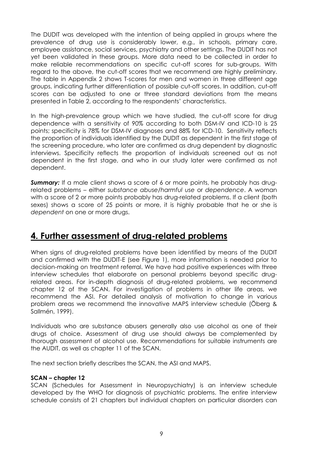<span id="page-8-0"></span>The DUDIT was developed with the intention of being applied in groups where the prevalence of drug use is considerably lower, e.g., in schools, primary care, employee assistance, social services, psychiatry and other settings. The DUDIT has not yet been validated in these groups. More data need to be collected in order to make reliable recommendations on specific cut-off scores for sub-groups. With regard to the above, the cut-off scores that we recommend are highly preliminary. The table in Appendix 2 shows T-scores for men and women in three different age groups, indicating further differentiation of possible cut-off scores. In addition, cut-off scores can be adjusted to one or three standard deviations from the means presented in Table 2, according to the respondents' characteristics.

In the high-prevalence group which we have studied, the cut-off score for drug dependence with a sensitivity of 90% according to both DSM-IV and ICD-10 is 25 points; specificity is 78% for DSM-IV diagnoses and 88% for ICD-10. Sensitivity reflects the proportion of individuals identified by the DUDIT as dependent in the first stage of the screening procedure, who later are confirmed as drug dependent by diagnostic interviews. Specificity reflects the proportion of individuals screened out as not dependent in the first stage, and who in our study later were confirmed as not dependent.

**Summary:** If a male client shows a score of 6 or more points, he probably has drugrelated problems – either *substance abuse/harmful use* or *dependence*. A woman with a score of 2 or more points probably has drug-related problems. If a client (both sexes) shows a score of 25 points or more, it is highly probable that he or she is *dependent* on one or more drugs.

## **4. Further assessment of drug-related problems**

When signs of drug-related problems have been identified by means of the DUDIT and confirmed with the DUDIT-E (see Figure 1), more information is needed prior to decision-making on treatment referral. We have had positive experiences with three interview schedules that elaborate on personal problems beyond specific drugrelated areas. For in-depth diagnosis of drug-related problems, we recommend chapter 12 of the SCAN. For investigation of problems in other life areas, we recommend the ASI. For detailed analysis of motivation to change in various problem areas we recommend the innovative MAPS interview schedule (Öberg & Sallmén, 1999).

Individuals who are substance abusers generally also use alcohol as one of their drugs of choice. Assessment of drug use should always be complemented by thorough assessment of alcohol use. Recommendations for suitable instruments are the AUDIT, as well as chapter 11 of the SCAN.

The next section briefly describes the SCAN, the ASI and MAPS.

#### **SCAN – chapter 12**

SCAN (Schedules for Assessment in Neuropsychiatry) is an interview schedule developed by the WHO for diagnosis of psychiatric problems. The entire interview schedule consists of 21 chapters but individual chapters on particular disorders can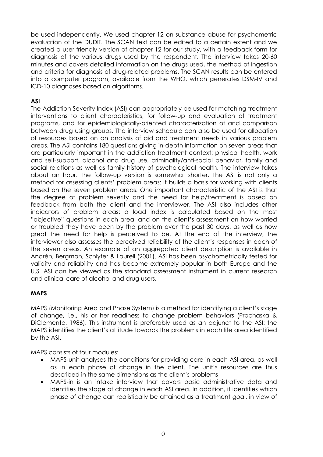<span id="page-9-0"></span>be used independently. We used chapter 12 on substance abuse for psychometric evaluation of the DUDIT. The SCAN text can be edited to a certain extent and we created a user-friendly version of chapter 12 for our study, with a feedback form for diagnosis of the various drugs used by the respondent. The interview takes 20-60 minutes and covers detailed information on the drugs used, the method of ingestion and criteria for diagnosis of drug-related problems. The SCAN results can be entered into a computer program, available from the WHO, which generates DSM-IV and ICD-10 diagnoses based on algorithms.

#### **ASI**

The Addiction Severity Index (ASI) can appropriately be used for matching treatment interventions to client characteristics, for follow-up and evaluation of treatment programs, and for epidemiologically-oriented characterization of and comparison between drug using groups. The interview schedule can also be used for allocation of resources based on an analysis of aid and treatment needs in various problem areas. The ASI contains 180 questions giving in-depth information on seven areas that are particularly important in the addiction treatment context: physical health, work and self-support, alcohol and drug use, criminality/anti-social behavior, family and social relations as well as family history of psychological health. The interview takes about an hour. The follow-up version is somewhat shorter. The ASI is not only a method for assessing clients' problem areas: it builds a basis for working with clients based on the seven problem areas. One important characteristic of the ASI is that the degree of problem severity and the need for help/treatment is based on feedback from both the client and the interviewer. The ASI also includes other indicators of problem areas: a load index is calculated based on the most "objective" questions in each area, and on the client's assessment on how worried or troubled they have been by the problem over the past 30 days, as well as how great the need for help is perceived to be. At the end of the interview, the interviewer also assesses the perceived reliability of the client's responses in each of the seven areas. An example of an aggregated client description is available in Andrén, Bergman, Schlyter & Laurell (2001). ASI has been psychometrically tested for validity and reliability and has become extremely popular in both Europe and the U.S. ASI can be viewed as the standard assessment instrument in current research and clinical care of alcohol and drug users.

#### **MAPS**

MAPS (Monitoring Area and Phase System) is a method for identifying a client's stage of change, i.e., his or her readiness to change problem behaviors (Prochaska & DiClemente, 1986). This instrument is preferably used as an adjunct to the ASI: the MAPS identifies the client's attitude towards the problems in each life area identified by the ASI.

MAPS consists of four modules:

- MAPS-unit analyses the conditions for providing care in each ASI area, as well as in each phase of change in the client. The unit's resources are thus described in the same dimensions as the client's problems
- MAPS-in is an intake interview that covers basic administrative data and identifies the stage of change in each ASI area. In addition, it identifies which phase of change can realistically be attained as a treatment goal, in view of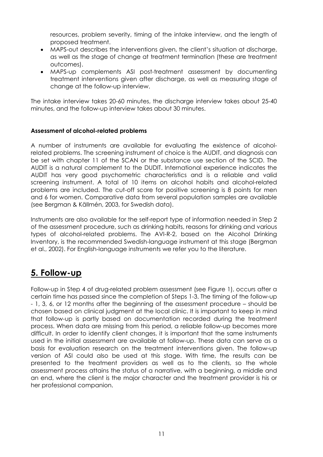<span id="page-10-0"></span>resources, problem severity, timing of the intake interview, and the length of proposed treatment.

- MAPS-out describes the interventions given, the client's situation at discharge, as well as the stage of change at treatment termination (these are treatment outcomes).
- MAPS-up complements ASI post-treatment assessment by documenting treatment interventions given after discharge, as well as measuring stage of change at the follow-up interview.

The intake interview takes 20-60 minutes, the discharge interview takes about 25-40 minutes, and the follow-up interview takes about 30 minutes.

#### **Assessment of alcohol-related problems**

A number of instruments are available for evaluating the existence of alcoholrelated problems. The screening instrument of choice is the AUDIT, and diagnosis can be set with chapter 11 of the SCAN or the substance use section of the SCID. The AUDIT is a natural complement to the DUDIT. International experience indicates the AUDIT has very good psychometric characteristics and is a reliable and valid screening instrument. A total of 10 items on alcohol habits and alcohol-related problems are included. The cut-off score for positive screening is 8 points for men and 6 for women. Comparative data from several population samples are available (see Bergman & Källmén, 2003, for Swedish data).

Instruments are also available for the self-report type of information needed in Step 2 of the assessment procedure, such as drinking habits, reasons for drinking and various types of alcohol-related problems. The AVI-R-2, based on the Alcohol Drinking Inventory, is the recommended Swedish-language instrument at this stage (Bergman et al., 2002). For English-language instruments we refer you to the literature.

# **5. Follow-up**

Follow-up in Step 4 of drug-related problem assessment (see Figure 1), occurs after a certain time has passed since the completion of Steps 1-3. The timing of the follow-up - 1, 3, 6, or 12 months after the beginning of the assessment procedure – should be chosen based on clinical judgment at the local clinic. It is important to keep in mind that follow-up is partly based on documentation recorded during the treatment process. When data are missing from this period, a reliable follow-up becomes more difficult. In order to identify client changes, it is important that the same instruments used in the initial assessment are available at follow-up. These data can serve as a basis for evaluation research on the treatment interventions given. The follow-up version of ASI could also be used at this stage. With time, the results can be presented to the treatment providers as well as to the clients, so the whole assessment process attains the status of a narrative, with a beginning, a middle and an end, where the client is the major character and the treatment provider is his or her professional companion.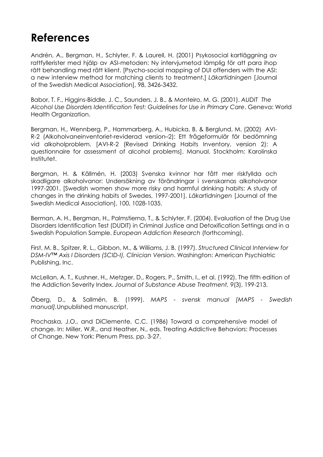# <span id="page-11-0"></span>**References**

Andrén, A., Bergman, H., Schlyter, F. & Laurell, H. (2001) Psykosocial kartläggning av rattfyllerister med hjälp av ASI-metoden: Ny intervjumetod lämplig för att para ihop rätt behandling med rätt klient. [Psycho-social mapping of DUI offenders with the ASI: a new interview method for matching clients to treatment.] *Läkartidningen* [Journal of the Swedish Medical Association], 98, 3426-3432.

Babor, T. F., Higgins-Biddle, J. C., Saunders, J. B., & Monteiro, M. G. (2001). *AUDIT The Alcohol Use Disorders Identification Test: Guidelines for Use in Primary Care*. Geneva: World Health Organization.

Bergman, H., Wennberg, P., Hammarberg, A., Hubicka, B. & Berglund, M. (2002) AVI-R-2 (Alkoholvaneinventoriet-reviderad version–2): Ett frågeformulär för bedömning vid alkoholproblem. [AVI-R-2 (Revised Drinking Habits Inventory, version 2): A questionnaire for assessment of alcohol problems]. Manual. Stockholm: Karolinska Institutet.

Bergman, H. & Källmén, H. (2003) Svenska kvinnor har fått mer riskfyllda och skadligare alkoholvanor: Undersökning av förändringar i svenskarnas alkoholvanor 1997-2001. [Swedish women show more risky and harmful drinking habits: A study of changes in the drinking habits of Swedes, 1997-2001]. *Läkartidningen* [Journal of the Swedish Medical Association], 100, 1028-1035.

Berman, A. H., Bergman, H., Palmstierna, T., & Schlyter, F. (2004). Evaluation of the Drug Use Disorders Identification Test (DUDIT) in Criminal Justice and Detoxification Settings and in a Swedish Population Sample. *European Addiction Research* (forthcoming).

First, M. B., Spitzer, R. L., Gibbon, M., & Williams, J. B. (1997). *Structured Clinical Interview for DSM-IV™ Axis I Disorders (SCID-I), Clinician Version*. Washington: American Psychiatric Publishing, Inc.

McLellan, A. T., Kushner, H., Metzger, D., Rogers, P., Smith, I., et al. (1992). The fifth edition of the Addiction Severity Index. *Journal of Substance Abuse Treatment, 9*(3), 199-213.

Öberg, D., & Sallmén, B. (1999). *MAPS - svensk manual [MAPS - Swedish manual].*Unpublished manuscript.

Prochaska, J.O., and DiClemente, C.C. (1986) Toward a comprehensive model of change. In: Miller, W.R., and Heather, N., eds. Treating Addictive Behaviors: Processes of Change. New York: Plenum Press, pp. 3-27.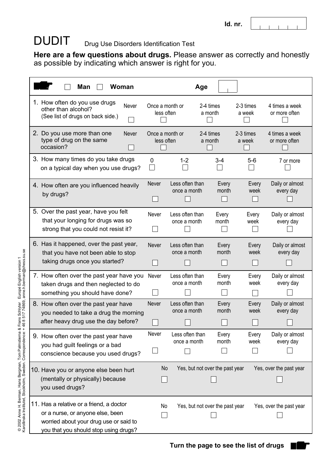#### $\sim 10^{-5}$  $\overline{1}$

#### DUDIT Drug Use Disorders Identification Test

**Here are a few questions about drugs.** Please answer as correctly and honestly as possible by indicating which answer is right for you.

| Man<br>Woman                                                                                                                                                    |                               |                                 | Age                                        |                                           |                                                |
|-----------------------------------------------------------------------------------------------------------------------------------------------------------------|-------------------------------|---------------------------------|--------------------------------------------|-------------------------------------------|------------------------------------------------|
| 1. How often do you use drugs<br>Never<br>other than alcohol?<br>(See list of drugs on back side.)                                                              | Once a month or<br>less often |                                 | 2-4 times<br>a month                       | 2-3 times<br>a week                       | 4 times a week<br>or more often                |
| 2. Do you use more than one<br>Never<br>type of drug on the same<br>occasion?                                                                                   | Once a month or<br>less often |                                 | 2-4 times<br>a month                       | 2-3 times<br>a week                       | 4 times a week<br>or more often                |
| 3. How many times do you take drugs<br>on a typical day when you use drugs?                                                                                     | $\overline{0}$                | $1 - 2$                         | $3 - 4$                                    | $5-6$                                     | 7 or more                                      |
| 4. How often are you influenced heavily<br>by drugs?                                                                                                            | Never                         | Less often than<br>once a month | Every<br>month                             | Every<br>week                             | Daily or almost<br>every day                   |
| 5. Over the past year, have you felt<br>that your longing for drugs was so<br>strong that you could not resist it?                                              | Never                         | Less often than<br>once a month | Every<br>month                             | Every<br>week                             | Daily or almost<br>every day                   |
| 6. Has it happened, over the past year,<br>that you have not been able to stop<br>taking drugs once you started?                                                | Never                         | Less often than<br>once a month | Every<br>month                             | Every<br>week                             | Daily or almost<br>every day                   |
| 7. How often over the past year have you<br>taken drugs and then neglected to do<br>something you should have done?                                             | Never                         | Less often than<br>once a month | Every<br>month                             | Every<br>week                             | Daily or almost<br>every day                   |
| 8. How often over the past year have<br>you needed to take a drug the morning<br>after heavy drug use the day before?                                           | Never                         | Less often than<br>once a month | Every<br>month<br>$\overline{\phantom{0}}$ | Every<br>week<br>$\overline{\phantom{0}}$ | Daily or almost<br>every day<br>$\overline{r}$ |
| 9. How often over the past year have<br>you had guilt feelings or a bad<br>conscience because you used drugs?                                                   | Never                         | Less often than<br>once a month | Every<br>month                             | Every<br>week                             | Daily or almost<br>every day                   |
| 10. Have you or anyone else been hurt<br>(mentally or physically) because<br>you used drugs?                                                                    | No                            |                                 | Yes, but not over the past year            |                                           | Yes, over the past year                        |
| 11. Has a relative or a friend, a doctor<br>or a nurse, or anyone else, been<br>worried about your drug use or said to<br>you that you should stop using drugs? | No                            |                                 | Yes, but not over the past year            |                                           | Yes, over the past year                        |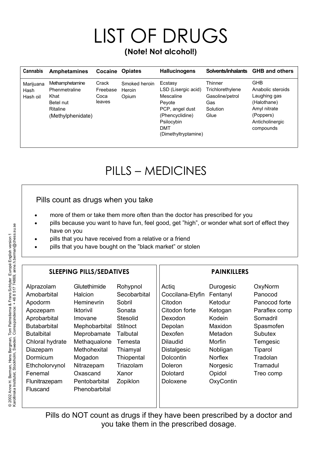# LIST OF DRUGS **(Note! Not alcohol!)**

| <b>Cannabis</b>               | <b>Amphetamines</b>                                                                    | Cocaine                             | <b>Opiates</b>                   | <b>Hallucinogens</b>                                                                                                                            | Solvents/inhalants                                                        | <b>GHB and others</b>                                                                                                       |
|-------------------------------|----------------------------------------------------------------------------------------|-------------------------------------|----------------------------------|-------------------------------------------------------------------------------------------------------------------------------------------------|---------------------------------------------------------------------------|-----------------------------------------------------------------------------------------------------------------------------|
| Marijuana<br>Hash<br>Hash oil | Methamphetamine<br>Phenmetraline<br>Khat<br>Betel nut<br>Ritaline<br>(Methylphenidate) | Crack<br>Freebase<br>Coca<br>leaves | Smoked heroin<br>Heroin<br>Opium | Ecstasy<br>LSD (Lisergic acid)<br>Mescaline<br>Peyote<br>PCP, angel dust<br>(Phencyclidine)<br>Psilocybin<br><b>DMT</b><br>(Dimethyltryptamine) | Thinner<br>Trichlorethylene<br>Gasoline/petrol<br>Gas<br>Solution<br>Glue | <b>GHB</b><br>Anabolic steroids<br>Laughing gas<br>(Halothane)<br>Amyl nitrate<br>(Poppers)<br>Anticholinergic<br>compounds |

# PILLS – MEDICINES

### Pills count as drugs when you take

- more of them or take them more often than the doctor has prescribed for you
- pills because you want to have fun, feel good, get "high", or wonder what sort of effect they have on you
- pills that you have received from a relative or a friend
- pills that you have bought on the "black market" or stolen

#### SLEEPING PILLS/SEDATIVES | PAINKILLERS

| Alprazolam          | Glutethimide     | Rohypnol        | Actig            | Durogesic      | OxyNorm        |
|---------------------|------------------|-----------------|------------------|----------------|----------------|
| Amobarbital         | Halcion          | Secobarbital    | Coccilana-Etyfin | Fentanyl       | Panocod        |
| Apodorm             | Heminevrin       | Sobril          | Citodon          | Ketodur        | Panocod forte  |
| Apozepam            | <b>Iktorivil</b> | Sonata          | Citodon forte    | Ketogan        | Paraflex comp  |
| Aprobarbital        | Imovane          | Stesolid        | Dexodon          | Kodein         | Somadril       |
| <b>Butabarbital</b> | Mephobarbital    | <b>Stilnoct</b> | Depolan          | <b>Maxidon</b> | Spasmofen      |
| <b>Butalbital</b>   | Meprobamate      | <b>Talbutal</b> | Dexofen          | Metadon        | <b>Subutex</b> |
| Chloral hydrate     | Methaqualone     | Temesta         | <b>Dilaudid</b>  | Morfin         | Temgesic       |
| Diazepam            | Methohexital     | Thiamyal        | Distalgesic      | Nobligan       | Tiparol        |
| Dormicum            | Mogadon          | Thiopental      | Dolcontin        | <b>Norflex</b> | Tradolan       |
| Ethcholorvynol      | Nitrazepam       | Triazolam       | <b>Doleron</b>   | Norgesic       | Tramadul       |
| Fenemal             | Oxascand         | Xanor           | Dolotard         | Opidol         | Treo comp      |
| Flunitrazepam       | Pentobarbital    | Zopiklon        | Doloxene         | OxyContin      |                |
| Fluscand            | Phenobarbital    |                 |                  |                |                |
|                     |                  |                 |                  |                |                |

Pills do NOT count as drugs if they have been prescribed by a doctor and you take them in the prescribed dosage.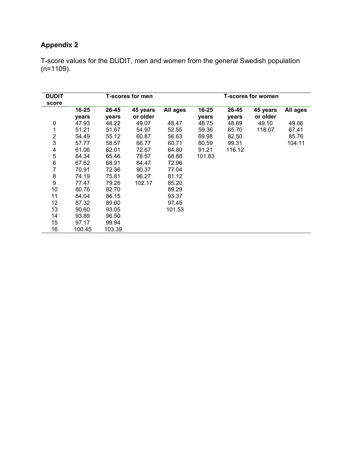### **Appendix 2**

T-score values for the DUDIT, men and women from the general Swedish population (n=1109).

| <b>DUDIT</b><br>score |        |        | <b>T-scores for men</b> | <b>T-scores for women</b> |        |        |          |          |
|-----------------------|--------|--------|-------------------------|---------------------------|--------|--------|----------|----------|
|                       | 16-25  | 26-45  | 45 years                | All ages                  | 16-25  | 26-45  | 45 years | All ages |
|                       | years  | years  | or older                |                           | years  | years  | or older |          |
| 0                     | 47.93  | 48.22  | 49.07                   | 48.47                     | 48.75  | 48.89  | 49.10    | 49.06    |
| 1                     | 51.21  | 51.67  | 54.97                   | 52.55                     | 59.36  | 65.70  | 118.07   | 67.41    |
| $\overline{2}$        | 54.49  | 55.12  | 60.87                   | 56.63                     | 69.98  | 82.50  |          | 85.76    |
| 3                     | 57.77  | 58.57  | 66.77                   | 60.71                     | 80.59  | 99.31  |          | 104.11   |
| 4                     | 61.06  | 62.01  | 72.67                   | 64.80                     | 91.21  | 116.12 |          |          |
| 5                     | 64.34  | 65.46  | 78.57                   | 68.88                     | 101.83 |        |          |          |
| 6                     | 67.62  | 68.91  | 84.47                   | 72.96                     |        |        |          |          |
| $\overline{7}$        | 70.91  | 72.36  | 90.37                   | 77.04                     |        |        |          |          |
| 8                     | 74.19  | 75.81  | 96.27                   | 81.12                     |        |        |          |          |
| $\boldsymbol{9}$      | 77.47  | 79.26  | 102.17                  | 85.20                     |        |        |          |          |
| 10                    | 80.76  | 82.70  |                         | 89.29                     |        |        |          |          |
| 11                    | 84.04  | 86.15  |                         | 93.37                     |        |        |          |          |
| 12                    | 87.32  | 89.60  |                         | 97.45                     |        |        |          |          |
| 13                    | 90.60  | 93.05  |                         | 101.53                    |        |        |          |          |
| 14                    | 93.89  | 96.50  |                         |                           |        |        |          |          |
| 15                    | 97.17  | 99.94  |                         |                           |        |        |          |          |
| 16                    | 100.45 | 103.39 |                         |                           |        |        |          |          |